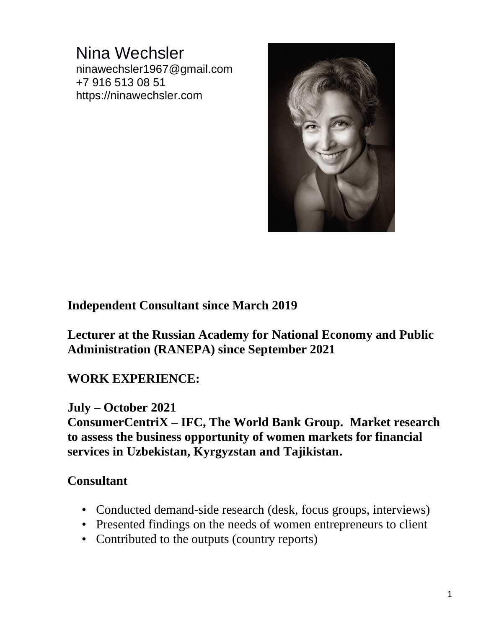## Nina Wechsler ninawechsler1967@gmail.com +7 916 513 08 51 https://ninawechsler.com



### **Independent Consultant since March 2019**

**Lecturer at the Russian Academy for National Economy and Public Administration (RANEPA) since September 2021**

### **WORK EXPERIENCE:**

#### **July – October 2021**

**ConsumerCentriX – IFC, The World Bank Group. Market research to assess the business opportunity of women markets for financial services in Uzbekistan, Kyrgyzstan and Tajikistan.**

### **Consultant**

- Conducted demand-side research (desk, focus groups, interviews)
- Presented findings on the needs of women entrepreneurs to client
- Contributed to the outputs (country reports)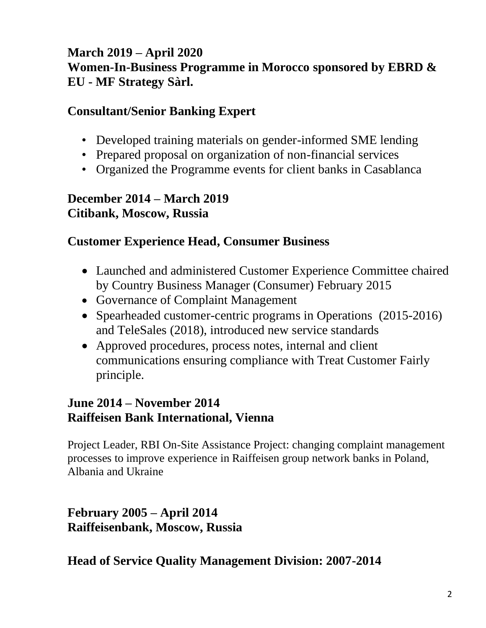## **March 2019 – April 2020 Women-In-Business Programme in Morocco sponsored by EBRD & EU - MF Strategy Sàrl.**

### **Consultant/Senior Banking Expert**

- Developed training materials on gender-informed SME lending
- Prepared proposal on organization of non-financial services
- Organized the Programme events for client banks in Casablanca

### **December 2014 – March 2019 Citibank, Moscow, Russia**

## **Customer Experience Head, Consumer Business**

- Launched and administered Customer Experience Committee chaired by Country Business Manager (Consumer) February 2015
- Governance of Complaint Management
- Spearheaded customer-centric programs in Operations (2015-2016) and TeleSales (2018), introduced new service standards
- Approved procedures, process notes, internal and client communications ensuring compliance with Treat Customer Fairly principle.

## **June 2014 – November 2014 Raiffeisen Bank International, Vienna**

Project Leader, RBI On-Site Assistance Project: changing complaint management processes to improve experience in Raiffeisen group network banks in Poland, Albania and Ukraine

**February 2005 – April 2014 Raiffeisenbank, Moscow, Russia**

**Head of Service Quality Management Division: 2007-2014**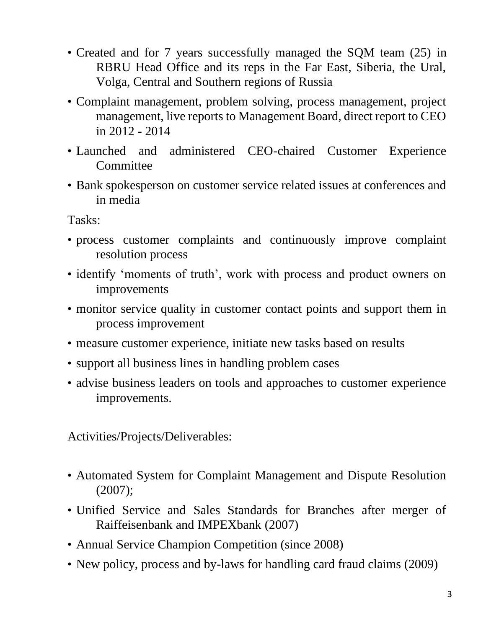- Created and for 7 years successfully managed the SQM team (25) in RBRU Head Office and its reps in the Far East, Siberia, the Ural, Volga, Central and Southern regions of Russia
- Complaint management, problem solving, process management, project management, live reports to Management Board, direct report to CEO in 2012 - 2014
- Launched and administered CEO-chaired Customer Experience **Committee**
- Bank spokesperson on customer service related issues at conferences and in media

Tasks:

- process customer complaints and continuously improve complaint resolution process
- identify 'moments of truth', work with process and product owners on improvements
- monitor service quality in customer contact points and support them in process improvement
- measure customer experience, initiate new tasks based on results
- support all business lines in handling problem cases
- advise business leaders on tools and approaches to customer experience improvements.

Activities/Projects/Deliverables:

- Automated System for Complaint Management and Dispute Resolution (2007);
- Unified Service and Sales Standards for Branches after merger of Raiffeisenbank and IMPEXbank (2007)
- Annual Service Champion Competition (since 2008)
- New policy, process and by-laws for handling card fraud claims (2009)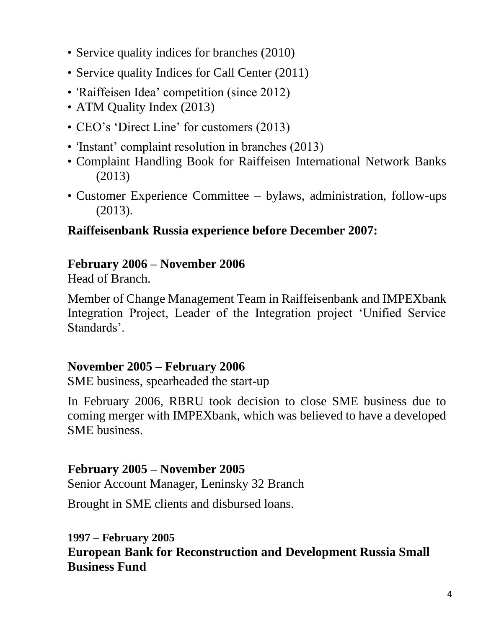- Service quality indices for branches (2010)
- Service quality Indices for Call Center (2011)
- 'Raiffeisen Idea' competition (since 2012)
- ATM Quality Index (2013)
- CEO's 'Direct Line' for customers (2013)
- 'Instant' complaint resolution in branches (2013)
- Complaint Handling Book for Raiffeisen International Network Banks (2013)
- Customer Experience Committee bylaws, administration, follow-ups (2013).

## **Raiffeisenbank Russia experience before December 2007:**

## **February 2006 – November 2006**

Head of Branch.

Member of Change Management Team in Raiffeisenbank and IMPEXbank Integration Project, Leader of the Integration project 'Unified Service Standards'.

## **November 2005 – February 2006**

SME business, spearheaded the start-up

In February 2006, RBRU took decision to close SME business due to coming merger with IMPEXbank, which was believed to have a developed SME business.

### **February 2005 – November 2005**

Senior Account Manager, Leninsky 32 Branch

Brought in SME clients and disbursed loans.

## **1997 – February 2005**

**European Bank for Reconstruction and Development Russia Small Business Fund**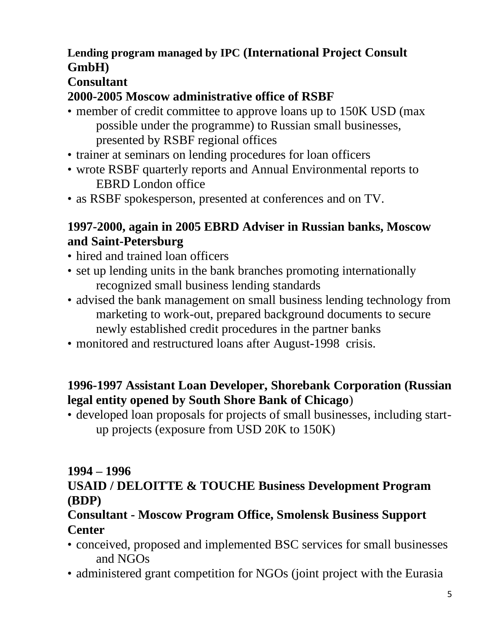## **Lending program managed by IPC (International Project Consult GmbH)**

# **Consultant**

## **2000-2005 Moscow administrative office of RSBF**

- member of credit committee to approve loans up to 150K USD (max possible under the programme) to Russian small businesses, presented by RSBF regional offices
- trainer at seminars on lending procedures for loan officers
- wrote RSBF quarterly reports and Annual Environmental reports to EBRD London office
- as RSBF spokesperson, presented at conferences and on TV.

## **1997-2000, again in 2005 EBRD Adviser in Russian banks, Moscow and Saint-Petersburg**

- hired and trained loan officers
- set up lending units in the bank branches promoting internationally recognized small business lending standards
- advised the bank management on small business lending technology from marketing to work-out, prepared background documents to secure newly established credit procedures in the partner banks
- monitored and restructured loans after August-1998 crisis.

## **1996-1997 Assistant Loan Developer, Shorebank Corporation (Russian legal entity opened by South Shore Bank of Chicago**)

• developed loan proposals for projects of small businesses, including startup projects (exposure from USD 20K to 150K)

# **1994 – 1996**

## **USAID / DELOITTE & TOUCHE Business Development Program (BDP)**

## **Consultant - Moscow Program Office, Smolensk Business Support Center**

- conceived, proposed and implemented BSC services for small businesses and NGOs
- administered grant competition for NGOs (joint project with the Eurasia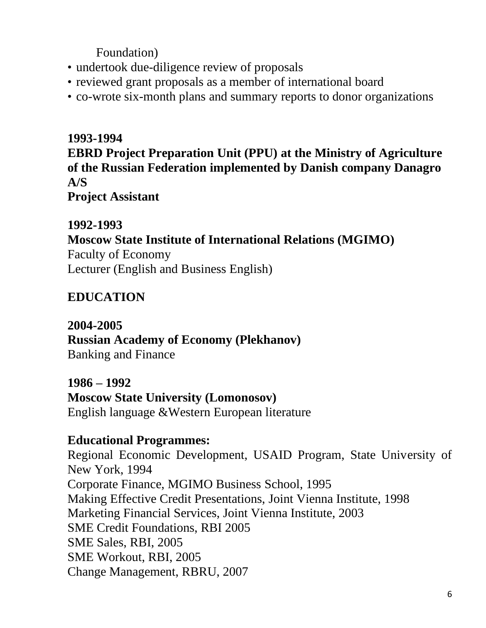Foundation)

- undertook due-diligence review of proposals
- reviewed grant proposals as a member of international board
- co-wrote six-month plans and summary reports to donor organizations

### **1993-1994**

**EBRD Project Preparation Unit (PPU) at the Ministry of Agriculture of the Russian Federation implemented by Danish company Danagro A/S**

**Project Assistant**

#### **1992-1993**

#### **Moscow State Institute of International Relations (MGIMO)**

Faculty of Economy Lecturer (English and Business English)

## **EDUCATION**

#### **2004-2005**

## **Russian Academy of Economy (Plekhanov)**

Banking and Finance

**1986 – 1992 Moscow State University (Lomonosov)** English language &Western European literature

## **Educational Programmes:**

Regional Economic Development, USAID Program, State University of New York, 1994 Corporate Finance, MGIMO Business School, 1995 Making Effective Credit Presentations, Joint Vienna Institute, 1998 Marketing Financial Services, Joint Vienna Institute, 2003 SME Credit Foundations, RBI 2005 SME Sales, RBI, 2005 SME Workout, RBI, 2005 Change Management, RBRU, 2007